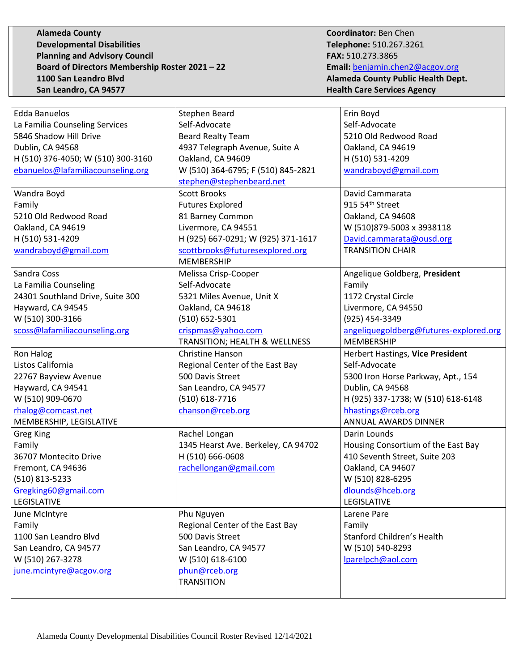**Alameda County Coordinator:** Ben Chen **Developmental Disabilities Telephone:** 510.267.3261 **Planning and Advisory Council FAX:** 510.273.3865 **Board of Directors Membership Roster 2021 – 22 Email:** [benjamin.chen2@acgov.org](mailto:benjamin.chen2@acgov.org) **1100 San Leandro Blvd Alameda County Public Health Dept. San Leandro, CA 94577 Health Care Services Agency** 

| <b>Edda Banuelos</b>                  | Stephen Beard                                       | Erin Boyd                                   |
|---------------------------------------|-----------------------------------------------------|---------------------------------------------|
| La Familia Counseling Services        | Self-Advocate                                       | Self-Advocate                               |
| 5846 Shadow Hill Drive                | <b>Beard Realty Team</b>                            | 5210 Old Redwood Road                       |
| Dublin, CA 94568                      | 4937 Telegraph Avenue, Suite A                      | Oakland, CA 94619                           |
| H (510) 376-4050; W (510) 300-3160    | Oakland, CA 94609                                   | H (510) 531-4209                            |
| ebanuelos@lafamiliacounseling.org     | W (510) 364-6795; F (510) 845-2821                  | wandraboyd@gmail.com                        |
|                                       | stephen@stephenbeard.net                            |                                             |
| Wandra Boyd                           | <b>Scott Brooks</b>                                 | David Cammarata                             |
| Family                                | <b>Futures Explored</b>                             | 915 54th Street                             |
| 5210 Old Redwood Road                 | 81 Barney Common                                    | Oakland, CA 94608                           |
| Oakland, CA 94619                     | Livermore, CA 94551                                 | W (510)879-5003 x 3938118                   |
| H (510) 531-4209                      | H (925) 667-0291; W (925) 371-1617                  | David.cammarata@ousd.org                    |
| wandraboyd@gmail.com                  | scottbrooks@futuresexplored.org                     | <b>TRANSITION CHAIR</b>                     |
|                                       | <b>MEMBERSHIP</b>                                   |                                             |
| Sandra Coss                           | Melissa Crisp-Cooper                                | Angelique Goldberg, President               |
| La Familia Counseling                 | Self-Advocate                                       | Family                                      |
| 24301 Southland Drive, Suite 300      | 5321 Miles Avenue, Unit X                           | 1172 Crystal Circle                         |
| Hayward, CA 94545                     | Oakland, CA 94618                                   | Livermore, CA 94550                         |
| W (510) 300-3166                      | (510) 652-5301                                      | (925) 454-3349                              |
| scoss@lafamiliacounseling.org         | crispmas@yahoo.com                                  | angeliquegoldberg@futures-explored.org      |
|                                       | TRANSITION; HEALTH & WELLNESS                       | <b>MEMBERSHIP</b>                           |
| Ron Halog                             | Christine Hanson                                    | Herbert Hastings, Vice President            |
| Listos California                     | Regional Center of the East Bay                     | Self-Advocate                               |
|                                       |                                                     |                                             |
|                                       | 500 Davis Street                                    |                                             |
| 22767 Bayview Avenue                  |                                                     | 5300 Iron Horse Parkway, Apt., 154          |
| Hayward, CA 94541<br>W (510) 909-0670 | San Leandro, CA 94577<br>(510) 618-7716             | Dublin, CA 94568                            |
|                                       |                                                     | H (925) 337-1738; W (510) 618-6148          |
| rhalog@comcast.net                    | chanson@rceb.org                                    | hhastings@rceb.org<br>ANNUAL AWARDS DINNER  |
| MEMBERSHIP, LEGISLATIVE               |                                                     | Darin Lounds                                |
| <b>Greg King</b>                      | Rachel Longan                                       |                                             |
| Family<br>36707 Montecito Drive       | 1345 Hearst Ave. Berkeley, CA 94702                 | Housing Consortium of the East Bay          |
|                                       | H (510) 666-0608                                    | 410 Seventh Street, Suite 203               |
| Fremont, CA 94636                     | rachellongan@gmail.com                              | Oakland, CA 94607                           |
| (510) 813-5233                        |                                                     | W (510) 828-6295                            |
| Gregking60@gmail.com<br>LEGISLATIVE   |                                                     | dlounds@hceb.org<br>LEGISLATIVE             |
|                                       |                                                     |                                             |
| June McIntyre                         | Phu Nguyen                                          | Larene Pare                                 |
| Family                                | Regional Center of the East Bay<br>500 Davis Street | Family<br><b>Stanford Children's Health</b> |
| 1100 San Leandro Blvd                 |                                                     |                                             |
| San Leandro, CA 94577                 | San Leandro, CA 94577                               | W (510) 540-8293                            |
| W (510) 267-3278                      | W (510) 618-6100                                    | lparelpch@aol.com                           |
| june.mcintyre@acgov.org               | phun@rceb.org<br><b>TRANSITION</b>                  |                                             |